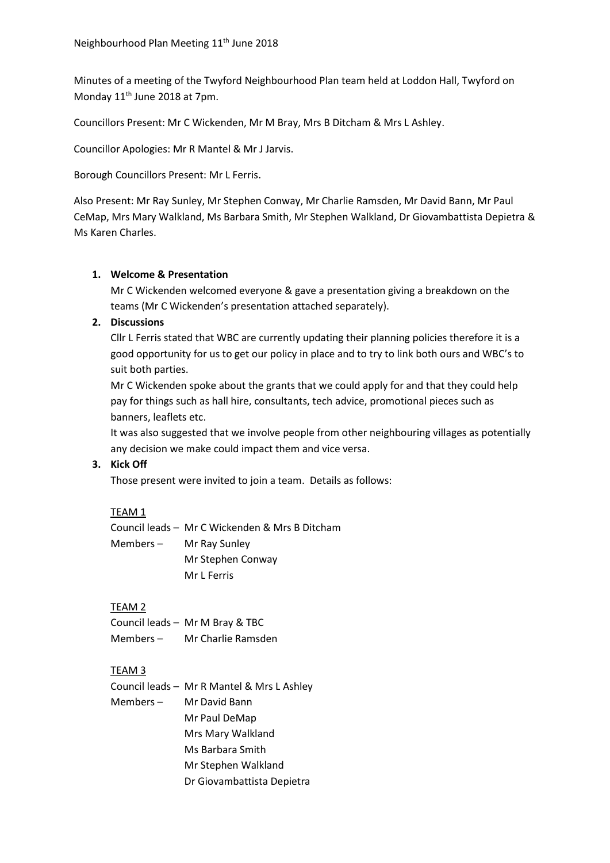Minutes of a meeting of the Twyford Neighbourhood Plan team held at Loddon Hall, Twyford on Monday 11<sup>th</sup> June 2018 at 7pm.

Councillors Present: Mr C Wickenden, Mr M Bray, Mrs B Ditcham & Mrs L Ashley.

Councillor Apologies: Mr R Mantel & Mr J Jarvis.

Borough Councillors Present: Mr L Ferris.

Also Present: Mr Ray Sunley, Mr Stephen Conway, Mr Charlie Ramsden, Mr David Bann, Mr Paul CeMap, Mrs Mary Walkland, Ms Barbara Smith, Mr Stephen Walkland, Dr Giovambattista Depietra & Ms Karen Charles.

### **1. Welcome & Presentation**

Mr C Wickenden welcomed everyone & gave a presentation giving a breakdown on the teams (Mr C Wickenden's presentation attached separately).

## **2. Discussions**

Cllr L Ferris stated that WBC are currently updating their planning policies therefore it is a good opportunity for us to get our policy in place and to try to link both ours and WBC's to suit both parties.

Mr C Wickenden spoke about the grants that we could apply for and that they could help pay for things such as hall hire, consultants, tech advice, promotional pieces such as banners, leaflets etc.

It was also suggested that we involve people from other neighbouring villages as potentially any decision we make could impact them and vice versa.

## **3. Kick Off**

Those present were invited to join a team. Details as follows:

## TEAM 1

Council leads – Mr C Wickenden & Mrs B Ditcham Members – Mr Ray Sunley Mr Stephen Conway Mr L Ferris

## TEAM 2

|          | Council leads - Mr M Bray & TBC |
|----------|---------------------------------|
| Members- | Mr Charlie Ramsden              |

## TEAM 3

|           | Council leads - Mr R Mantel & Mrs L Ashley |
|-----------|--------------------------------------------|
| Members – | Mr David Bann                              |
|           | Mr Paul DeMap                              |
|           | Mrs Mary Walkland                          |
|           | Ms Barbara Smith                           |
|           | Mr Stephen Walkland                        |
|           | Dr Giovambattista Depietra                 |